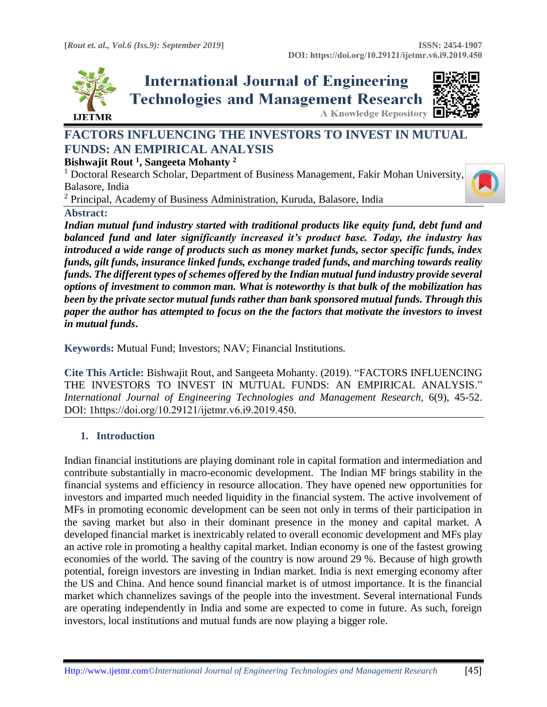

**International Journal of Engineering Technologies and Management Research A Knowledge Repository** 



# **FACTORS INFLUENCING THE INVESTORS TO INVEST IN MUTUAL FUNDS: AN EMPIRICAL ANALYSIS**

# **Bishwajit Rout <sup>1</sup> , Sangeeta Mohanty <sup>2</sup>**

<sup>1</sup> Doctoral Research Scholar, Department of Business Management, Fakir Mohan University, Balasore, India

<sup>2</sup> Principal, Academy of Business Administration, Kuruda, Balasore, India

#### **Abstract:**

*Indian mutual fund industry started with traditional products like equity fund, debt fund and balanced fund and later significantly increased it's product base. Today, the industry has introduced a wide range of products such as money market funds, sector specific funds, index funds, gilt funds, insurance linked funds, exchange traded funds, and marching towards reality funds. The different types of schemes offered by the Indian mutual fund industry provide several options of investment to common man. What is noteworthy is that bulk of the mobilization has been by the private sector mutual funds rather than bank sponsored mutual funds. Through this paper the author has attempted to focus on the the factors that motivate the investors to invest in mutual funds***.**

**Keywords:** Mutual Fund; Investors; NAV; Financial Institutions*.* 

**Cite This Article:** Bishwajit Rout, and Sangeeta Mohanty. (2019). "FACTORS INFLUENCING THE INVESTORS TO INVEST IN MUTUAL FUNDS: AN EMPIRICAL ANALYSIS." *International Journal of Engineering Technologies and Management Research,* 6(9), 45-52. DOI: 1https://doi.org/10.29121/ijetmr.v6.i9.2019.450.

# **1. Introduction**

Indian financial institutions are playing dominant role in capital formation and intermediation and contribute substantially in macro-economic development. The Indian MF brings stability in the financial systems and efficiency in resource allocation. They have opened new opportunities for investors and imparted much needed liquidity in the financial system. The active involvement of MFs in promoting economic development can be seen not only in terms of their participation in the saving market but also in their dominant presence in the money and capital market. A developed financial market is inextricably related to overall economic development and MFs play an active role in promoting a healthy capital market. Indian economy is one of the fastest growing economies of the world. The saving of the country is now around 29 %. Because of high growth potential, foreign investors are investing in Indian market. India is next emerging economy after the US and China. And hence sound financial market is of utmost importance. It is the financial market which channelizes savings of the people into the investment. Several international Funds are operating independently in India and some are expected to come in future. As such, foreign investors, local institutions and mutual funds are now playing a bigger role.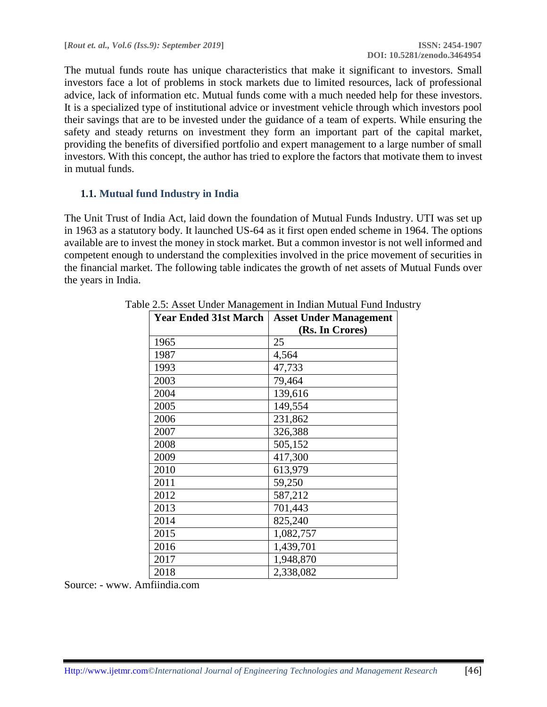The mutual funds route has unique characteristics that make it significant to investors. Small investors face a lot of problems in stock markets due to limited resources, lack of professional advice, lack of information etc. Mutual funds come with a much needed help for these investors. It is a specialized type of institutional advice or investment vehicle through which investors pool their savings that are to be invested under the guidance of a team of experts. While ensuring the safety and steady returns on investment they form an important part of the capital market, providing the benefits of diversified portfolio and expert management to a large number of small investors. With this concept, the author has tried to explore the factors that motivate them to invest in mutual funds.

# **1.1. Mutual fund Industry in India**

The Unit Trust of India Act, laid down the foundation of Mutual Funds Industry. UTI was set up in 1963 as a statutory body. It launched US-64 as it first open ended scheme in 1964. The options available are to invest the money in stock market. But a common investor is not well informed and competent enough to understand the complexities involved in the price movement of securities in the financial market. The following table indicates the growth of net assets of Mutual Funds over the years in India.

| <b>Year Ended 31st March</b> | <b>Asset Under Management</b> |
|------------------------------|-------------------------------|
|                              | (Rs. In Crores)               |
| 1965                         | 25                            |
| 1987                         | 4,564                         |
| 1993                         | 47,733                        |
| 2003                         | 79,464                        |
| 2004                         | 139,616                       |
| 2005                         | 149,554                       |
| 2006                         | 231,862                       |
| 2007                         | 326,388                       |
| 2008                         | 505,152                       |
| 2009                         | 417,300                       |
| 2010                         | 613,979                       |
| 2011                         | 59,250                        |
| 2012                         | 587,212                       |
| 2013                         | 701,443                       |
| 2014                         | 825,240                       |
| 2015                         | 1,082,757                     |
| 2016                         | 1,439,701                     |
| 2017                         | 1,948,870                     |
| 2018                         | 2,338,082                     |

Source: - www. Amfiindia.com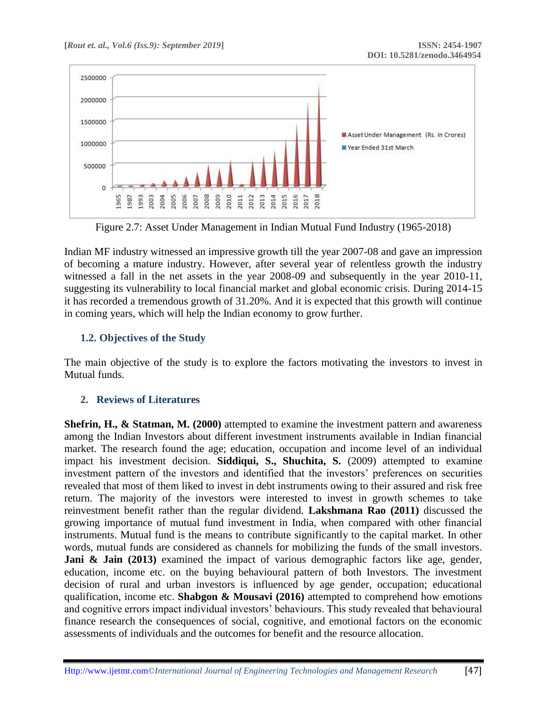

Figure 2.7: Asset Under Management in Indian Mutual Fund Industry (1965-2018)

Indian MF industry witnessed an impressive growth till the year 2007-08 and gave an impression of becoming a mature industry. However, after several year of relentless growth the industry witnessed a fall in the net assets in the year 2008-09 and subsequently in the year 2010-11, suggesting its vulnerability to local financial market and global economic crisis. During 2014-15 it has recorded a tremendous growth of 31.20%. And it is expected that this growth will continue in coming years, which will help the Indian economy to grow further.

# **1.2. Objectives of the Study**

The main objective of the study is to explore the factors motivating the investors to invest in Mutual funds.

# **2. Reviews of Literatures**

**Shefrin, H., & Statman, M. (2000)** attempted to examine the investment pattern and awareness among the Indian Investors about different investment instruments available in Indian financial market. The research found the age; education, occupation and income level of an individual impact his investment decision. **Siddiqui, S., Shuchita, S.** (2009) attempted to examine investment pattern of the investors and identified that the investors' preferences on securities revealed that most of them liked to invest in debt instruments owing to their assured and risk free return. The majority of the investors were interested to invest in growth schemes to take reinvestment benefit rather than the regular dividend. **Lakshmana Rao (2011)** discussed the growing importance of mutual fund investment in India, when compared with other financial instruments. Mutual fund is the means to contribute significantly to the capital market. In other words, mutual funds are considered as channels for mobilizing the funds of the small investors. Jani & Jain (2013) examined the impact of various demographic factors like age, gender, education, income etc. on the buying behavioural pattern of both Investors. The investment decision of rural and urban investors is influenced by age gender, occupation; educational qualification, income etc. **Shabgon & Mousavi (2016)** attempted to comprehend how emotions and cognitive errors impact individual investors' behaviours. This study revealed that behavioural finance research the consequences of social, cognitive, and emotional factors on the economic assessments of individuals and the outcomes for benefit and the resource allocation.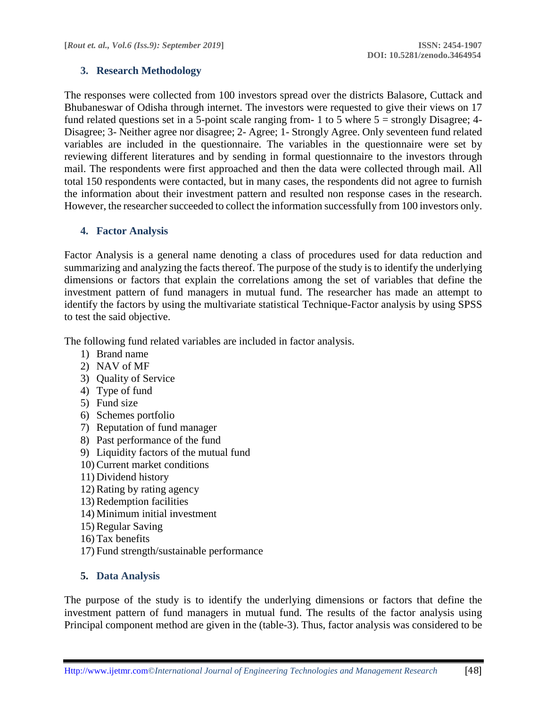### **3. Research Methodology**

The responses were collected from 100 investors spread over the districts Balasore, Cuttack and Bhubaneswar of Odisha through internet. The investors were requested to give their views on 17 fund related questions set in a 5-point scale ranging from- 1 to 5 where  $5 =$  strongly Disagree; 4-Disagree; 3- Neither agree nor disagree; 2- Agree; 1- Strongly Agree. Only seventeen fund related variables are included in the questionnaire. The variables in the questionnaire were set by reviewing different literatures and by sending in formal questionnaire to the investors through mail. The respondents were first approached and then the data were collected through mail. All total 150 respondents were contacted, but in many cases, the respondents did not agree to furnish the information about their investment pattern and resulted non response cases in the research. However, the researcher succeeded to collect the information successfully from 100 investors only.

#### **4. Factor Analysis**

Factor Analysis is a general name denoting a class of procedures used for data reduction and summarizing and analyzing the facts thereof. The purpose of the study is to identify the underlying dimensions or factors that explain the correlations among the set of variables that define the investment pattern of fund managers in mutual fund. The researcher has made an attempt to identify the factors by using the multivariate statistical Technique-Factor analysis by using SPSS to test the said objective.

The following fund related variables are included in factor analysis.

- 1) Brand name
- 2) NAV of MF
- 3) Quality of Service
- 4) Type of fund
- 5) Fund size
- 6) Schemes portfolio
- 7) Reputation of fund manager
- 8) Past performance of the fund
- 9) Liquidity factors of the mutual fund
- 10)Current market conditions
- 11) Dividend history
- 12)Rating by rating agency
- 13)Redemption facilities
- 14) Minimum initial investment
- 15)Regular Saving
- 16) Tax benefits
- 17) Fund strength/sustainable performance

# **5. Data Analysis**

The purpose of the study is to identify the underlying dimensions or factors that define the investment pattern of fund managers in mutual fund. The results of the factor analysis using Principal component method are given in the (table-3). Thus, factor analysis was considered to be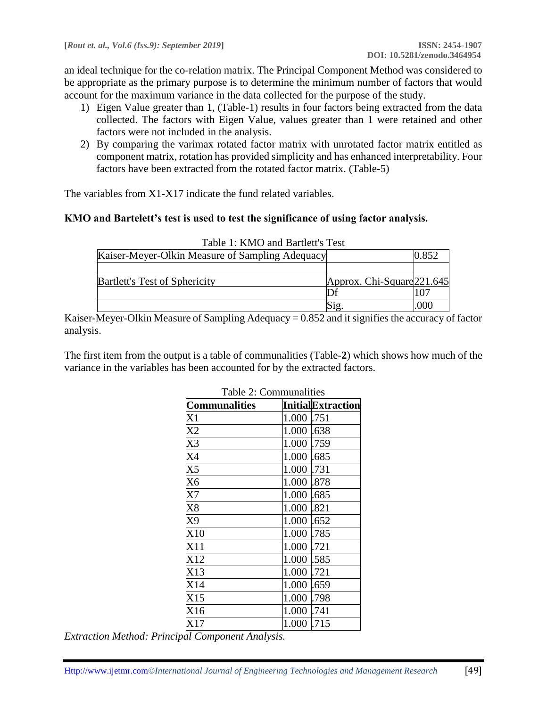an ideal technique for the co-relation matrix. The Principal Component Method was considered to be appropriate as the primary purpose is to determine the minimum number of factors that would account for the maximum variance in the data collected for the purpose of the study.

- 1) Eigen Value greater than 1, (Table-1) results in four factors being extracted from the data collected. The factors with Eigen Value, values greater than 1 were retained and other factors were not included in the analysis.
- 2) By comparing the varimax rotated factor matrix with unrotated factor matrix entitled as component matrix, rotation has provided simplicity and has enhanced interpretability. Four factors have been extracted from the rotated factor matrix. (Table-5)

The variables from X1-X17 indicate the fund related variables.

#### **KMO and Bartelett's test is used to test the significance of using factor analysis.**

| Table 1: KMO and Bartlett's Test                |                            |       |
|-------------------------------------------------|----------------------------|-------|
| Kaiser-Meyer-Olkin Measure of Sampling Adequacy |                            | 0.852 |
|                                                 |                            |       |
| <b>Bartlett's Test of Sphericity</b>            | Approx. Chi-Square 221.645 |       |
|                                                 |                            |       |
|                                                 |                            | 000   |

Kaiser-Meyer-Olkin Measure of Sampling Adequacy = 0.852 and it signifies the accuracy of factor analysis.

The first item from the output is a table of communalities (Table-**2**) which shows how much of the variance in the variables has been accounted for by the extracted factors.

| Communalities       | <b>InitialExtraction</b> |
|---------------------|--------------------------|
| X1                  | 1.000<br>.751            |
| $\rm X2$            | 1.000<br>.638            |
| X3                  | 1.000<br>.759            |
| X4                  | 1.000<br>.685            |
| X <sub>5</sub>      | 1.000<br>.731            |
| X6                  | 1.000<br>.878            |
| X7                  | 1.000<br>.685            |
| $\rm \overline{X8}$ | 1.000<br>.821            |
| X9                  | 1.000<br>.652            |
| X10                 | 1.000<br>.785            |
| X <sub>11</sub>     | 1.000<br>.721            |
| X12                 | 1.000<br>.585            |
| X13                 | 1.000<br>.721            |
| X14                 | 1.000<br>.659            |
| X15                 | 1.000<br>.798            |
| X16                 | 1.000<br>.741            |
| X17                 | .715<br>1.000            |

Table 2: Communalities

*Extraction Method: Principal Component Analysis.*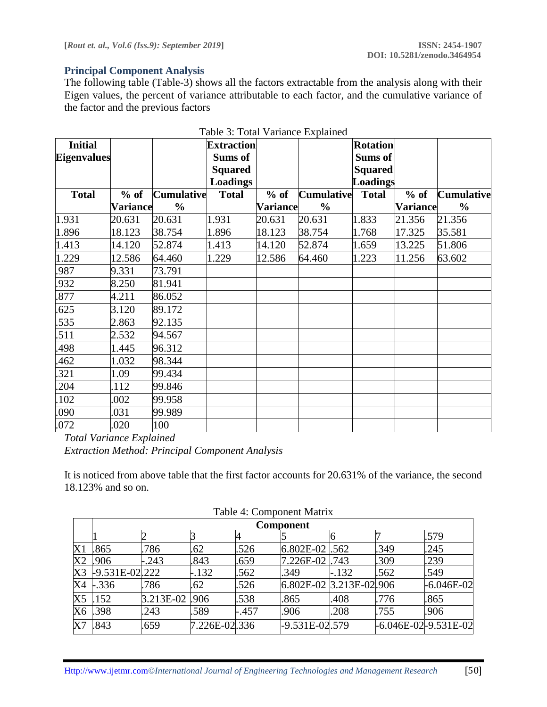#### **Principal Component Analysis**

The following table (Table-3) shows all the factors extractable from the analysis along with their Eigen values, the percent of variance attributable to each factor, and the cumulative variance of the factor and the previous factors

| <b>Initial</b>     |                 |                   | <b>Extraction</b> |                 |                   | <b>Rotation</b> |                 |                   |
|--------------------|-----------------|-------------------|-------------------|-----------------|-------------------|-----------------|-----------------|-------------------|
| <b>Eigenvalues</b> |                 |                   | Sums of           |                 |                   | Sums of         |                 |                   |
|                    |                 |                   | <b>Squared</b>    |                 |                   | <b>Squared</b>  |                 |                   |
|                    |                 |                   | <b>Loadings</b>   |                 |                   | Loadings        |                 |                   |
| <b>Total</b>       | $%$ of          | <b>Cumulative</b> | <b>Total</b>      | $%$ of          | <b>Cumulative</b> | <b>Total</b>    | $%$ of          | <b>Cumulative</b> |
|                    | <b>Variance</b> | $\frac{6}{6}$     |                   | <b>Variance</b> | $\frac{0}{0}$     |                 | <b>Variance</b> | $\frac{0}{0}$     |
| 1.931              | 20.631          | 20.631            | 1.931             | 20.631          | 20.631            | 1.833           | 21.356          | 21.356            |
| 1.896              | 18.123          | 38.754            | 1.896             | 18.123          | 38.754            | 1.768           | 17.325          | 35.581            |
| 1.413              | 14.120          | 52.874            | 1.413             | 14.120          | 52.874            | 1.659           | 13.225          | 51.806            |
| 1.229              | 12.586          | 64.460            | 1.229             | 12.586          | 64.460            | 1.223           | 11.256          | 63.602            |
| .987               | 9.331           | 73.791            |                   |                 |                   |                 |                 |                   |
| 932                | 8.250           | 81.941            |                   |                 |                   |                 |                 |                   |
| 877                | 4.211           | 86.052            |                   |                 |                   |                 |                 |                   |
| 625                | 3.120           | 89.172            |                   |                 |                   |                 |                 |                   |
| 535                | 2.863           | 92.135            |                   |                 |                   |                 |                 |                   |
| 511                | 2.532           | 94.567            |                   |                 |                   |                 |                 |                   |
| 498                | 1.445           | 96.312            |                   |                 |                   |                 |                 |                   |
| 462                | 1.032           | 98.344            |                   |                 |                   |                 |                 |                   |
| 321                | 1.09            | 99.434            |                   |                 |                   |                 |                 |                   |
| 204                | .112            | 99.846            |                   |                 |                   |                 |                 |                   |
| 102                | .002            | 99.958            |                   |                 |                   |                 |                 |                   |
| .090               | .031            | 99.989            |                   |                 |                   |                 |                 |                   |
| .072               | .020            | 100               |                   |                 |                   |                 |                 |                   |

Table 3: Total Variance Explained

*Total Variance Explained Extraction Method: Principal Component Analysis*

It is noticed from above table that the first factor accounts for 20.631% of the variance, the second 18.123% and so on.

|    | <b>Component</b> |               |               |         |                           |         |      |                              |
|----|------------------|---------------|---------------|---------|---------------------------|---------|------|------------------------------|
|    |                  |               |               |         |                           |         |      | .579                         |
| X1 | .865             | .786          | .62           | 526     | 6.802E-02 .562            |         | 349  | .245                         |
| X2 | .906             | $-.243$       | .843          | .659    | 7.226E-02 .743            |         | .309 | .239                         |
| X3 | -9.531E-02.222   |               | $-.132$       | .562    | .349                      | $-.132$ | .562 | .549                         |
| X4 | $-.336$          | .786          | .62           | 526     | $6.802E-02$ 3.213E-02.906 |         |      | $-6.046E-02$                 |
| X5 | .152             | 3.213E-02.906 |               | 538     | .865                      | .408    | .776 | .865                         |
| Х6 | .398             | .243          | .589          | $-.457$ | .906                      | .208    | .755 | .906                         |
| X7 | .843             | .659          | 7.226E-02.336 |         | -9.531E-02.579            |         |      | $-6.046E - 02 - 9.531E - 02$ |

Table 4: Component Matrix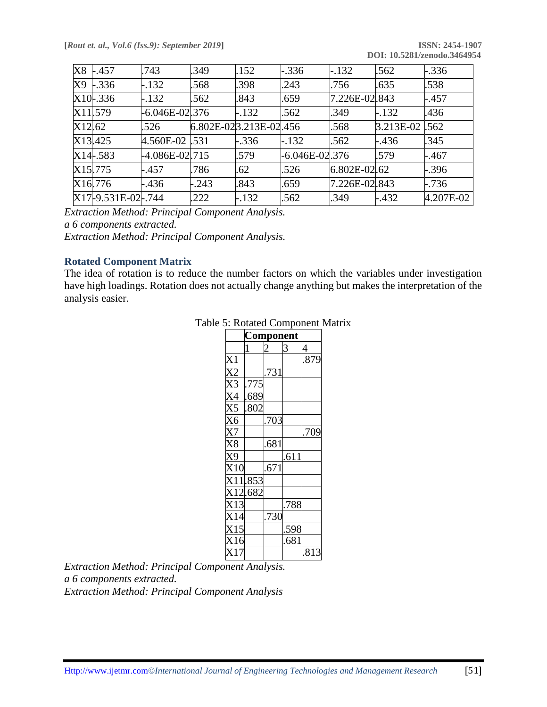|        | X8 -.457             | .743                | .349    | .152                   | $-.336$            | $-.132$       | .562      | $-.336$   |
|--------|----------------------|---------------------|---------|------------------------|--------------------|---------------|-----------|-----------|
| X9     | $-.336$              | $-.132$             | .568    | .398                   | .243               | .756          | .635      | .538      |
|        | X10-.336             | $-.132$             | .562    | .843                   | .659               | 7.226E-02.843 |           | $-.457$   |
|        | X11.579              | $-6.046E - 02.376$  |         | $-.132$                | .562               | .349          | $-.132$   | .436      |
| X12.62 |                      | .526                |         | 6.802E-023.213E-02.456 |                    | .568          | 3.213E-02 | .562      |
|        | X13.425              | 4.560E-02 .531      |         | $-.336$                | $-.132$            | .562          | $-.436$   | .345      |
|        | $X14 - 583$          | $-4.086E - 02$ .715 |         | .579                   | $-6.046E - 02.376$ |               | .579      | $-.467$   |
|        | X <sub>15</sub> .775 | -.457               | .786    | .62                    | .526               | 6.802E-02.62  |           | $-.396$   |
|        | X16.776              | $-.436$             | $-.243$ | .843                   | .659               | 7.226E-02.843 |           | $-.736$   |
|        | X17-9.531E-02-.744   |                     | .222    | $-.132$                | .562               | .349          | $-.432$   | 4.207E-02 |

*Extraction Method: Principal Component Analysis. a 6 components extracted.*

*Extraction Method: Principal Component Analysis.*

#### **Rotated Component Matrix**

The idea of rotation is to reduce the number factors on which the variables under investigation have high loadings. Rotation does not actually change anything but makes the interpretation of the analysis easier.

|                                       |                    | Component |      |      |
|---------------------------------------|--------------------|-----------|------|------|
|                                       | 1                  |           |      | 4    |
| X1                                    |                    |           |      | .879 |
| $\overline{\text{X2}}$                |                    | .731      |      |      |
| $\overline{X3}$                       | .775               |           |      |      |
| $\frac{\overline{X4}}{\overline{X5}}$ | .689               |           |      |      |
|                                       | .802               |           |      |      |
| $\overline{X6}$                       |                    | .703      |      |      |
| $\overline{X7}$                       |                    |           |      | .709 |
| $\overline{\text{X8}}$                |                    | .681      |      |      |
| X9<br>X10                             |                    |           | .611 |      |
|                                       |                    | .671      |      |      |
|                                       | X11.853<br>X12.682 |           |      |      |
|                                       |                    |           |      |      |
| X13                                   |                    |           | .788 |      |
| $\overline{X14}$                      |                    | .730      |      |      |
| $\overline{X15}$                      |                    |           | .598 |      |
| $\frac{125}{16}$                      |                    |           | .681 |      |
| $\overline{x_1}$                      |                    |           |      | .813 |

|  | Table 5: Rotated Component Matrix |  |  |  |  |
|--|-----------------------------------|--|--|--|--|
|--|-----------------------------------|--|--|--|--|

*Extraction Method: Principal Component Analysis. a 6 components extracted. Extraction Method: Principal Component Analysis*